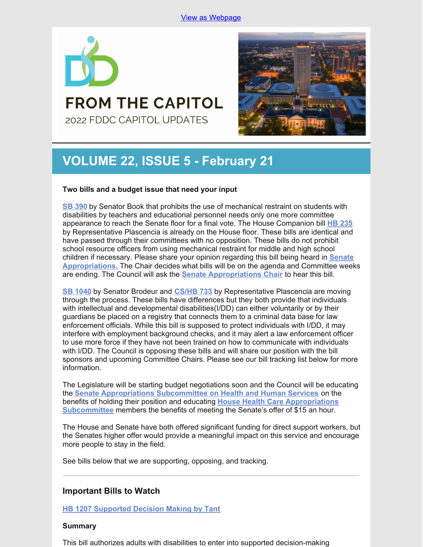

**FROM THE CAPITOL** 2022 FDDC CAPITOL UPDATES



# **VOLUME 22, ISSUE 5 - February 21**

## **Two bills and a budget issue that need your input**

**SB [390](https://www.flsenate.gov/Session/Bill/2022/390)** by Senator Book that prohibits the use of mechanical restraint on students with disabilities by teachers and educational personnel needs only one more committee appearance to reach the Senate floor for a final vote. The House Companion bill **HB [235](https://www.myfloridahouse.gov/Sections/Bills/billsdetail.aspx?BillId=73355)** by Representative Plascencia is already on the House floor. These bills are identical and have passed through their committees with no opposition. These bills do not prohibit school resource officers from using mechanical restraint for middle and high school children if necessary. Please share your opinion regarding this bill being heard in **Senate [Appropriations.](https://www.flsenate.gov/Committees/show/AP)** The Chair decides what bills will be on the agenda and Committee weeks are ending. The Council will ask the **Senate [Appropriations](https://www.flsenate.gov/Senators/S22) Chair** to hear this bill.

**SB [1040](https://www.flsenate.gov/Session/Bill/2022/1040)** by Senator Brodeur and **[CS/HB](https://www.myfloridahouse.gov/Sections/Bills/billsdetail.aspx?BillId=75034) 733** by Representative Plascencia are moving through the process. These bills have differences but they both provide that individuals with intellectual and developmental disabilities(I/DD) can either voluntarily or by their guardians be placed on a registry that connects them to a criminal data base for law enforcement officials. While this bill is supposed to protect individuals with I/DD, it may interfere with employment background checks, and it may alert a law enforcement officer to use more force if they have not been trained on how to communicate with individuals with I/DD. The Council is opposing these bills and will share our position with the bill sponsors and upcoming Committee Chairs. Please see our bill tracking list below for more information.

The Legislature will be starting budget negotiations soon and the Council will be educating the **Senate [Appropriations](https://www.flsenate.gov/Committees/Show/AHS/) Subcommittee on Health and Human Services** on the benefits of holding their position and educating **House Health Care [Appropriations](https://www.myfloridahouse.gov/Sections/Committees/committeesdetail.aspx?CommitteeId=3088) Subcommittee** members the benefits of meeting the Senate's offer of \$15 an hour.

The House and Senate have both offered significant funding for direct support workers, but the Senates higher offer would provide a meaningful impact on this service and encourage more people to stay in the field.

See bills below that we are supporting, opposing, and tracking.

## **Important Bills to Watch**

**HB 1207 [Supported](https://www.myfloridahouse.gov/Sections/Bills/billsdetail.aspx?BillId=76061) Decision Making by Tant**

## **Summary**

This bill authorizes adults with disabilities to enter into supported decision-making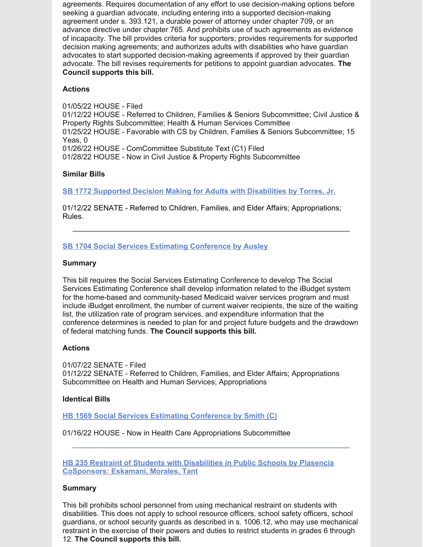agreements. Requires documentation of any effort to use decision-making options before seeking a guardian advocate, including entering into a supported decision-making agreement under s. 393.121, a durable power of attorney under chapter 709, or an advance directive under chapter 765. And prohibits use of such agreements as evidence of incapacity. The bill provides criteria for supporters; provides requirements for supported decision making agreements; and authorizes adults with disabilities who have guardian advocates to start supported decision-making agreements if approved by their guardian advocate. The bill revises requirements for petitions to appoint guardian advocates. **The Council supports this bill.**

## **Actions**

01/05/22 HOUSE - Filed 01/12/22 HOUSE - Referred to Children, Families & Seniors Subcommittee; Civil Justice & Property Rights Subcommittee; Health & Human Services Committee 01/25/22 HOUSE - Favorable with CS by Children, Families & Seniors Subcommittee; 15 Yeas, 0 01/26/22 HOUSE - ComCommittee Substitute Text (C1) Filed 01/28/22 HOUSE - Now in Civil Justice & Property Rights Subcommittee

## **Similar Bills**

**SB 1772 Supported Decision Making for Adults with [Disabilities](https://www.myfloridahouse.gov/Sections/Bills/billsdetail.aspx?BillId=76242&) by Torres, Jr.**

01/12/22 SENATE - Referred to Children, Families, and Elder Affairs; Appropriations; Rules.

## **SB 1704 Social Services Estimating [Conference](https://www.myfloridahouse.gov/Sections/Bills/billsdetail.aspx?BillId=76170) by Ausley**

#### **Summary**

This bill requires the Social Services Estimating Conference to develop The Social Services Estimating Conference shall develop information related to the iBudget system for the home-based and community-based Medicaid waiver services program and must include iBudget enrollment, the number of current waiver recipients, the size of the waiting list, the utilization rate of program services, and expenditure information that the conference determines is needed to plan for and project future budgets and the drawdown of federal matching funds. **The Council supports this bill.**

## **Actions**

01/07/22 SENATE - Filed 01/12/22 SENATE - Referred to Children, Families, and Elder Affairs; Appropriations Subcommittee on Health and Human Services; Appropriations

## **Identical Bills**

**HB 1569 Social Services Estimating [Conference](https://www.myfloridahouse.gov/Sections/Bills/billsdetail.aspx?BillId=76559&) by Smith (C)**

01/16/22 HOUSE - Now in Health Care Appropriations Subcommittee

**HB 235 Restraint of Students with Disabilities in Public Schools by Plasencia [CoSponsors:](https://www.myfloridahouse.gov/Sections/Bills/billsdetail.aspx?BillId=73355) Eskamani, Morales, Tant**

## **Summary**

This bill prohibits school personnel from using mechanical restraint on students with disabilities. This does not apply to school resource officers, school safety officers, school guardians, or school security guards as described in s. 1006.12, who may use mechanical restraint in the exercise of their powers and duties to restrict students in grades 6 through 12. **The Council supports this bill.**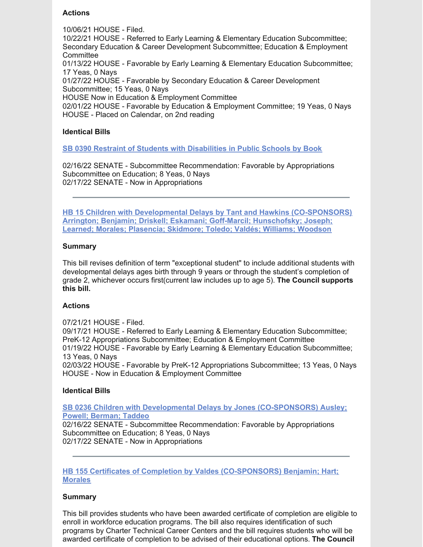## **Actions**

10/06/21 HOUSE - Filed.

10/22/21 HOUSE - Referred to Early Learning & Elementary Education Subcommittee; Secondary Education & Career Development Subcommittee; Education & Employment **Committee** 

01/13/22 HOUSE - Favorable by Early Learning & Elementary Education Subcommittee; 17 Yeas, 0 Nays

01/27/22 HOUSE - Favorable by Secondary Education & Career Development Subcommittee; 15 Yeas, 0 Nays

HOUSE Now in Education & Employment Committee

02/01/22 HOUSE - Favorable by Education & Employment Committee; 19 Yeas, 0 Nays HOUSE - Placed on Calendar, on 2nd reading

## **Identical Bills**

**SB 0390 Restraint of Students with [Disabilities](https://www.myfloridahouse.gov/Sections/Bills/billsdetail.aspx?BillId=73330&) in Public Schools by Book**

02/16/22 SENATE - Subcommittee Recommendation: Favorable by Appropriations Subcommittee on Education; 8 Yeas, 0 Nays 02/17/22 SENATE - Now in Appropriations

**HB 15 Children with Developmental Delays by Tant and Hawkins [\(CO-SPONSORS\)](https://www.myfloridahouse.gov/Sections/Bills/billsdetail.aspx?BillId=73025) Arrington; Benjamin; Driskell; Eskamani; Goff-Marcil; Hunschofsky; Joseph; Learned; Morales; Plasencia; Skidmore; Toledo; Valdés; Williams; Woodson**

## **Summary**

This bill revises definition of term "exceptional student" to include additional students with developmental delays ages birth through 9 years or through the student's completion of grade 2, whichever occurs first(current law includes up to age 5). **The Council supports this bill.**

## **Actions**

07/21/21 HOUSE - Filed. 09/17/21 HOUSE - Referred to Early Learning & Elementary Education Subcommittee; PreK-12 Appropriations Subcommittee; Education & Employment Committee 01/19/22 HOUSE - Favorable by Early Learning & Elementary Education Subcommittee; 13 Yeas, 0 Nays 02/03/22 HOUSE - Favorable by PreK-12 Appropriations Subcommittee; 13 Yeas, 0 Nays HOUSE - Now in Education & Employment Committee

## **Identical Bills**

**SB 0236 Children with Developmental Delays by Jones [\(CO-SPONSORS\)](https://www.myfloridahouse.gov/Sections/Bills/billsdetail.aspx?BillId=73164&) Ausley; Powell; Berman; Taddeo**

02/16/22 SENATE - Subcommittee Recommendation: Favorable by Appropriations Subcommittee on Education; 8 Yeas, 0 Nays 02/17/22 SENATE - Now in Appropriations

**HB 155 Certificates of Completion by Valdes [\(CO-SPONSORS\)](https://www.myfloridahouse.gov/Sections/Bills/billsdetail.aspx?BillId=73206) Benjamin; Hart; Morales**

## **Summary**

This bill provides students who have been awarded certificate of completion are eligible to enroll in workforce education programs. The bill also requires identification of such programs by Charter Technical Career Centers and the bill requires students who will be awarded certificate of completion to be advised of their educational options. **The Council**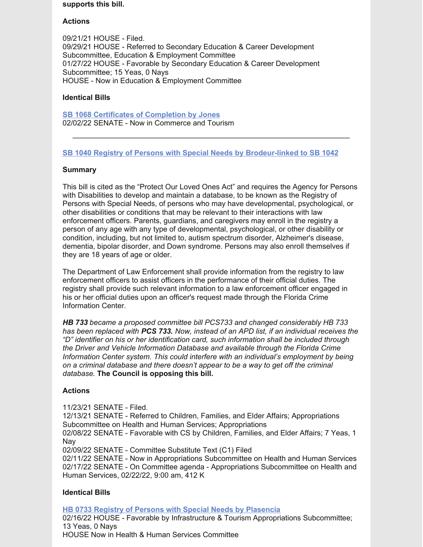#### **supports this bill.**

## **Actions**

09/21/21 HOUSE - Filed. 09/29/21 HOUSE - Referred to Secondary Education & Career Development Subcommittee, Education & Employment Committee 01/27/22 HOUSE - Favorable by Secondary Education & Career Development Subcommittee; 15 Yeas, 0 Nays HOUSE - Now in Education & Employment Committee

## **Identical Bills**

**SB 1068 Certificates of [Completion](https://www.myfloridahouse.gov/Sections/Bills/billsdetail.aspx?BillId=75103&) by Jones** 02/02/22 SENATE - Now in Commerce and Tourism

## **SB 1040 Registry of Persons with Special Needs by [Brodeur-linked](https://www.myfloridahouse.gov/Sections/Bills/billsdetail.aspx?BillId=74991) to SB 1042**

## **Summary**

This bill is cited as the "Protect Our Loved Ones Act" and requires the Agency for Persons with Disabilities to develop and maintain a database, to be known as the Registry of Persons with Special Needs, of persons who may have developmental, psychological, or other disabilities or conditions that may be relevant to their interactions with law enforcement officers. Parents, guardians, and caregivers may enroll in the registry a person of any age with any type of developmental, psychological, or other disability or condition, including, but not limited to, autism spectrum disorder, Alzheimer's disease, dementia, bipolar disorder, and Down syndrome. Persons may also enroll themselves if they are 18 years of age or older.

The Department of Law Enforcement shall provide information from the registry to law enforcement officers to assist officers in the performance of their official duties. The registry shall provide such relevant information to a law enforcement officer engaged in his or her official duties upon an officer's request made through the Florida Crime Information Center.

*HB 733 became a proposed committee bill PCS733 and changed considerably HB 733 has been replaced with PCS 733. Now, instead of an APD list, if an individual receives the "D" identifier on his or her identification card, such information shall be included through the Driver and Vehicle Information Database and available through the Florida Crime Information Center system. This could interfere with an individual's employment by being on a criminal database and there doesn't appear to be a way to get off the criminal database.* **The Council is opposing this bill.**

## **Actions**

11/23/21 SENATE - Filed.

12/13/21 SENATE - Referred to Children, Families, and Elder Affairs; Appropriations Subcommittee on Health and Human Services; Appropriations

02/08/22 SENATE - Favorable with CS by Children, Families, and Elder Affairs; 7 Yeas, 1 Nay

02/09/22 SENATE - Committee Substitute Text (C1) Filed

02/11/22 SENATE - Now in Appropriations Subcommittee on Health and Human Services 02/17/22 SENATE - On Committee agenda - Appropriations Subcommittee on Health and Human Services, 02/22/22, 9:00 am, 412 K

## **Identical Bills**

**HB 0733 Registry of Persons with Special Needs by [Plasencia](https://www.myfloridahouse.gov/Sections/Bills/billsdetail.aspx?BillId=75034&)**

02/16/22 HOUSE - Favorable by Infrastructure & Tourism Appropriations Subcommittee; 13 Yeas, 0 Nays HOUSE Now in Health & Human Services Committee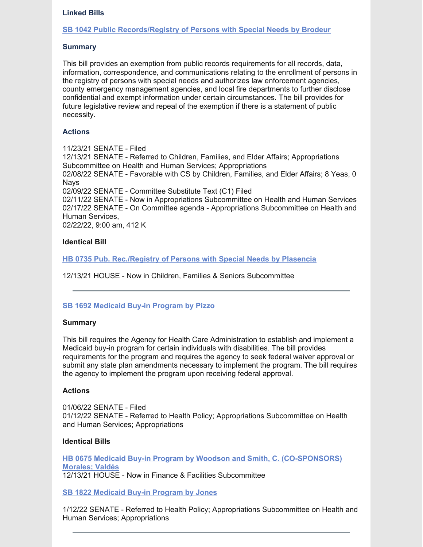#### **Linked Bills**

#### **SB 1042 Public [Records/Registry](https://www.myfloridahouse.gov/Sections/Bills/billsdetail.aspx?BillId=74990&) of Persons with Special Needs by Brodeur**

#### **Summary**

This bill provides an exemption from public records requirements for all records, data, information, correspondence, and communications relating to the enrollment of persons in the registry of persons with special needs and authorizes law enforcement agencies, county emergency management agencies, and local fire departments to further disclose confidential and exempt information under certain circumstances. The bill provides for future legislative review and repeal of the exemption if there is a statement of public necessity.

#### **Actions**

11/23/21 SENATE - Filed 12/13/21 SENATE - Referred to Children, Families, and Elder Affairs; Appropriations Subcommittee on Health and Human Services; Appropriations 02/08/22 SENATE - Favorable with CS by Children, Families, and Elder Affairs; 8 Yeas, 0 **Navs** 02/09/22 SENATE - Committee Substitute Text (C1) Filed 02/11/22 SENATE - Now in Appropriations Subcommittee on Health and Human Services 02/17/22 SENATE - On Committee agenda - Appropriations Subcommittee on Health and Human Services, 02/22/22, 9:00 am, 412 K

#### **Identical Bill**

**HB 0735 Pub. [Rec./Registry](https://www.myfloridahouse.gov/Sections/Bills/billsdetail.aspx?BillId=75035&) of Persons with Special Needs by Plasencia**

12/13/21 HOUSE - Now in Children, Families & Seniors Subcommittee

## **SB 1692 [Medicaid](https://www.myfloridahouse.gov/Sections/Bills/billsdetail.aspx?BillId=76163) Buy-in Program by Pizzo**

#### **Summary**

This bill requires the Agency for Health Care Administration to establish and implement a Medicaid buy-in program for certain individuals with disabilities. The bill provides requirements for the program and requires the agency to seek federal waiver approval or submit any state plan amendments necessary to implement the program. The bill requires the agency to implement the program upon receiving federal approval.

#### **Actions**

01/06/22 SENATE - Filed 01/12/22 SENATE - Referred to Health Policy; Appropriations Subcommittee on Health and Human Services; Appropriations

#### **Identical Bills**

**HB 0675 Medicaid Buy-in Program by Woodson and Smith, C. [\(CO-SPONSORS\)](https://www.myfloridahouse.gov/Sections/Bills/billsdetail.aspx?BillId=74798&) Morales; Valdés** 12/13/21 HOUSE - Now in Finance & Facilities Subcommittee

**SB 1822 [Medicaid](https://www.myfloridahouse.gov/Sections/Bills/billsdetail.aspx?BillId=76281&) Buy-in Program by Jones**

1/12/22 SENATE - Referred to Health Policy; Appropriations Subcommittee on Health and Human Services; Appropriations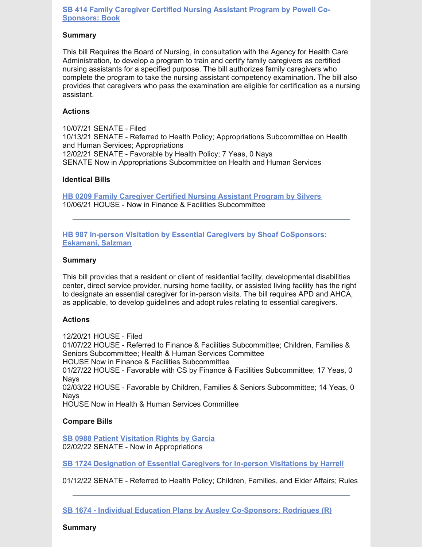## **SB 414 Family Caregiver Certified Nursing Assistant Program by Powell Co-[Sponsors:](https://www.myfloridahouse.gov/Sections/Bills/billsdetail.aspx?BillId=73361&) Book**

#### **Summary**

This bill Requires the Board of Nursing, in consultation with the Agency for Health Care Administration, to develop a program to train and certify family caregivers as certified nursing assistants for a specified purpose. The bill authorizes family caregivers who complete the program to take the nursing assistant competency examination. The bill also provides that caregivers who pass the examination are eligible for certification as a nursing assistant.

#### **Actions**

10/07/21 SENATE - Filed 10/13/21 SENATE - Referred to Health Policy; Appropriations Subcommittee on Health and Human Services; Appropriations 12/02/21 SENATE - Favorable by Health Policy; 7 Yeas, 0 Nays SENATE Now in Appropriations Subcommittee on Health and Human Services

#### **Identical Bills**

**HB 0209 Family [Caregiver](https://www.myfloridahouse.gov/Sections/Bills/billsdetail.aspx?BillId=73306) Certified Nursing Assistant Program by Silvers** 10/06/21 HOUSE - Now in Finance & Facilities Subcommittee

**HB 987 In-person Visitation by Essential Caregivers by Shoaf [CoSponsors:](https://www.myfloridahouse.gov/Sections/Bills/billsdetail.aspx?BillId=75784) Eskamani, Salzman**

#### **Summary**

This bill provides that a resident or client of residential facility, developmental disabilities center, direct service provider, nursing home facility, or assisted living facility has the right to designate an essential caregiver for in-person visits. The bill requires APD and AHCA, as applicable, to develop guidelines and adopt rules relating to essential caregivers.

## **Actions**

12/20/21 HOUSE - Filed 01/07/22 HOUSE - Referred to Finance & Facilities Subcommittee; Children, Families & Seniors Subcommittee; Health & Human Services Committee HOUSE Now in Finance & Facilities Subcommittee 01/27/22 HOUSE - Favorable with CS by Finance & Facilities Subcommittee; 17 Yeas, 0 Nays 02/03/22 HOUSE - Favorable by Children, Families & Seniors Subcommittee; 14 Yeas, 0 Nays HOUSE Now in Health & Human Services Committee

## **Compare Bills**

**SB 0988 Patient [Visitation](https://www.myfloridahouse.gov/Sections/Bills/billsdetail.aspx?BillId=74715&) Rights by Garcia** 02/02/22 SENATE - Now in Appropriations

**SB 1724 [Designation](https://www.myfloridahouse.gov/Sections/Bills/billsdetail.aspx?BillId=76190&) of Essential Caregivers for In-person Visitations by Harrell**

01/12/22 SENATE - Referred to Health Policy; Children, Families, and Elder Affairs; Rules

**SB 1674 - Individual Education Plans by Ausley [Co-Sponsors:](https://www.flsenate.gov/Session/Bill/2022/1674) Rodrigues (R)**

**Summary**